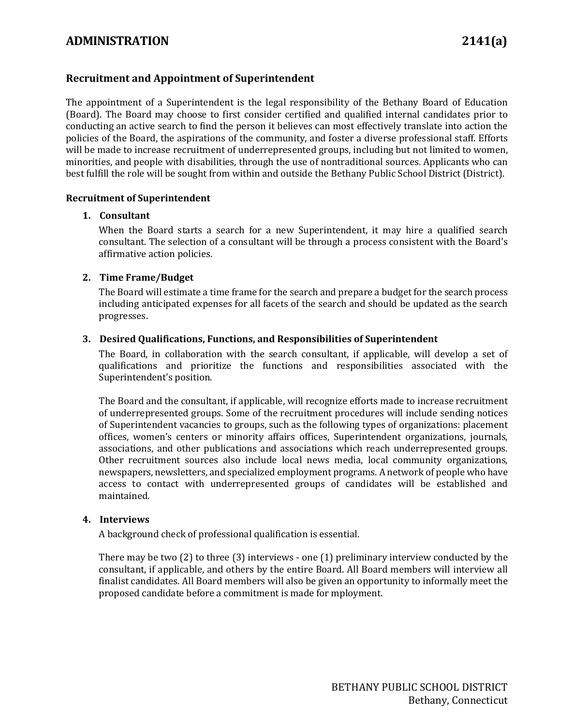# **ADMINISTRATION 2141(a)**

## **Recruitment and Appointment of Superintendent**

The appointment of a Superintendent is the legal responsibility of the Bethany Board of Education (Board). The Board may choose to first consider certified and qualified internal candidates prior to conducting an active search to find the person it believes can most effectively translate into action the policies of the Board, the aspirations of the community, and foster a diverse professional staff. Efforts will be made to increase recruitment of underrepresented groups, including but not limited to women, minorities, and people with disabilities, through the use of nontraditional sources. Applicants who can best fulfill the role will be sought from within and outside the Bethany Public School District (District).

#### **Recruitment of Superintendent**

#### **1. Consultant**

When the Board starts a search for a new Superintendent, it may hire a qualified search consultant. The selection of a consultant will be through a process consistent with the Board's affirmative action policies.

#### **2. Time Frame/Budget**

The Board will estimate a time frame for the search and prepare a budget for the search process including anticipated expenses for all facets of the search and should be updated as the search progresses.

#### **3. Desired Qualifications, Functions, and Responsibilities of Superintendent**

The Board, in collaboration with the search consultant, if applicable, will develop a set of qualifications and prioritize the functions and responsibilities associated with the Superintendent's position.

The Board and the consultant, if applicable, will recognize efforts made to increase recruitment of underrepresented groups. Some of the recruitment procedures will include sending notices of Superintendent vacancies to groups, such as the following types of organizations: placement offices, women's centers or minority affairs offices, Superintendent organizations, journals, associations, and other publications and associations which reach underrepresented groups. Other recruitment sources also include local news media, local community organizations, newspapers, newsletters, and specialized employment programs. A network of people who have access to contact with underrepresented groups of candidates will be established and maintained.

#### **4. Interviews**

A background check of professional qualification is essential.

There may be two (2) to three (3) interviews - one (1) preliminary interview conducted by the consultant, if applicable, and others by the entire Board. All Board members will interview all finalist candidates. All Board members will also be given an opportunity to informally meet the proposed candidate before a commitment is made for mployment.